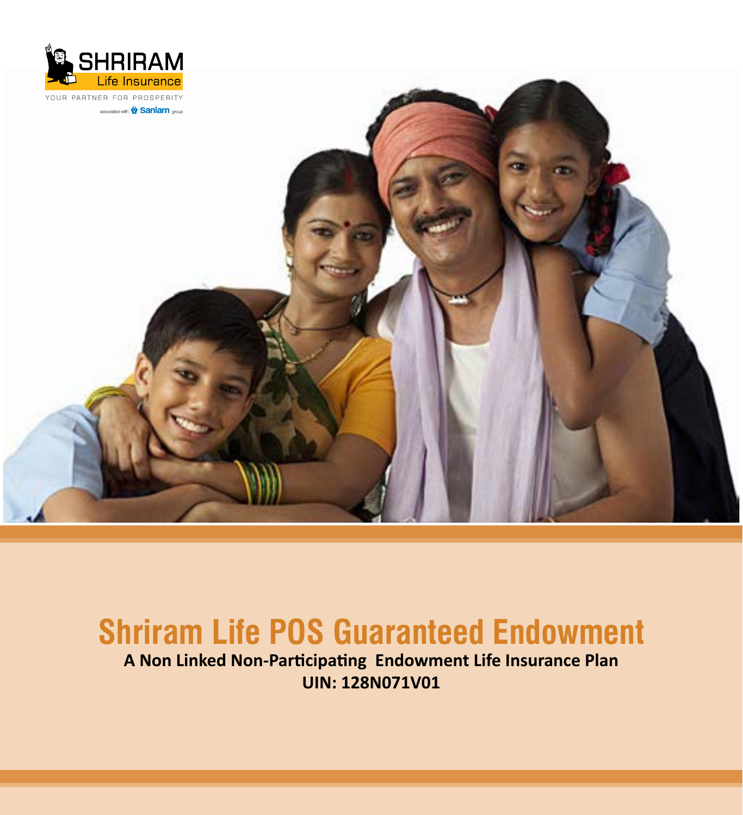



# **Shriram Life POS Guaranteed Endowment**

**A Non Linked Non-Participating Endowment Life Insurance Plan UIN: 128N071V01**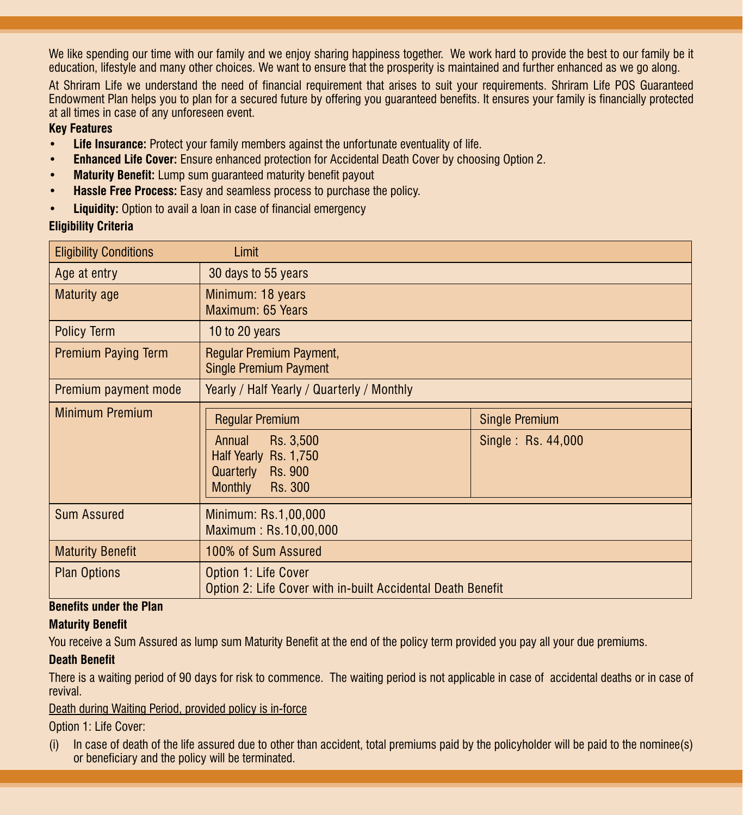We like spending our time with our family and we enjoy sharing happiness together. We work hard to provide the best to our family be it education, lifestyle and many other choices. We want to ensure that the prosperity is maintained and further enhanced as we go along.

At Shriram Life we understand the need of financial requirement that arises to suit your requirements. Shriram Life POS Guaranteed Endowment Plan helps you to plan for a secured future by offering you guaranteed benefits. It ensures your family is financially protected at all times in case of any unforeseen event.

#### **Key Features**

- **Life Insurance:** Protect your family members against the unfortunate eventuality of life.
- • **Enhanced Life Cover:** Ensure enhanced protection for Accidental Death Cover by choosing Option 2.
- **Maturity Benefit:** Lump sum guaranteed maturity benefit payout
- **Hassle Free Process:** Easy and seamless process to purchase the policy.
- • **Liquidity:** Option to avail a loan in case of financial emergency

#### **Eligibility Criteria**

| <b>Eligibility Conditions</b> | Limit                                                                                                                       |                                             |  |
|-------------------------------|-----------------------------------------------------------------------------------------------------------------------------|---------------------------------------------|--|
| Age at entry                  | 30 days to 55 years                                                                                                         |                                             |  |
| <b>Maturity age</b>           | Minimum: 18 years<br>Maximum: 65 Years                                                                                      |                                             |  |
| Policy Term                   | 10 to 20 years                                                                                                              |                                             |  |
| <b>Premium Paying Term</b>    | Regular Premium Payment,<br><b>Single Premium Payment</b>                                                                   |                                             |  |
| Premium payment mode          | Yearly / Half Yearly / Quarterly / Monthly                                                                                  |                                             |  |
| <b>Minimum Premium</b>        | <b>Regular Premium</b><br>Rs. 3,500<br>Annual<br>Half Yearly Rs. 1,750<br>Quarterly<br>Rs. 900<br><b>Monthly</b><br>Rs. 300 | <b>Single Premium</b><br>Single: Rs. 44,000 |  |
| <b>Sum Assured</b>            | Minimum: Rs.1,00,000<br>Maximum: Rs.10,00,000                                                                               |                                             |  |
| <b>Maturity Benefit</b>       | 100% of Sum Assured                                                                                                         |                                             |  |
| <b>Plan Options</b>           | Option 1: Life Cover<br>Option 2: Life Cover with in-built Accidental Death Benefit                                         |                                             |  |

#### **Benefits under the Plan**

#### **Maturity Benefit**

You receive a Sum Assured as lump sum Maturity Benefit at the end of the policy term provided you pay all your due premiums.

#### **Death Benefit**

There is a waiting period of 90 days for risk to commence. The waiting period is not applicable in case of accidental deaths or in case of revival.

#### Death during Waiting Period, provided policy is in-force

Option 1: Life Cover:

(i) In case of death of the life assured due to other than accident, total premiums paid by the policyholder will be paid to the nominee(s) or beneficiary and the policy will be terminated.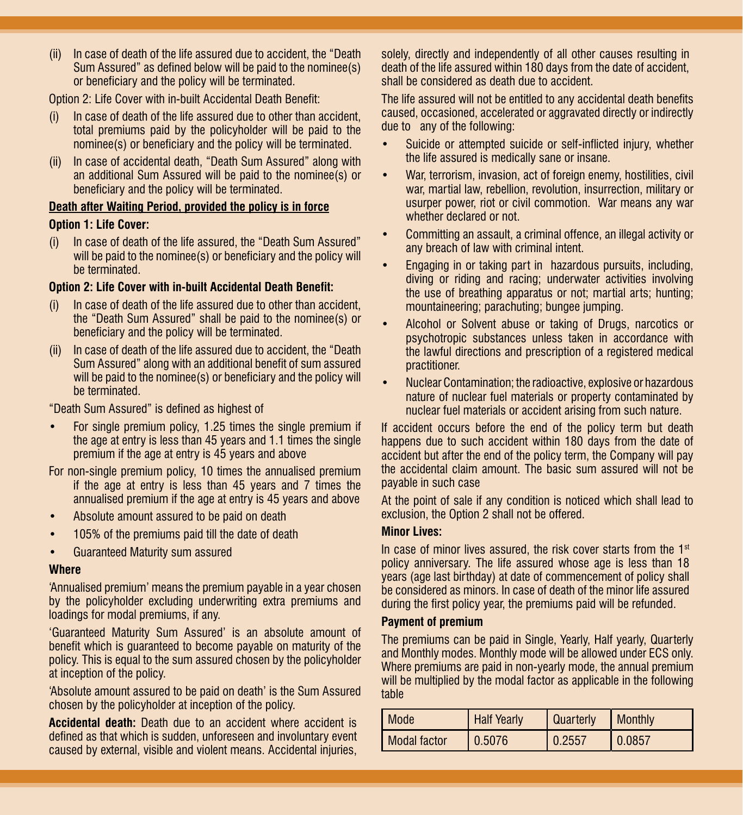(ii) In case of death of the life assured due to accident, the "Death Sum Assured" as defined below will be paid to the nominee(s) or beneficiary and the policy will be terminated.

Option 2: Life Cover with in-built Accidental Death Benefit:

- (i) In case of death of the life assured due to other than accident, total premiums paid by the policyholder will be paid to the nominee(s) or beneficiary and the policy will be terminated.
- (ii) In case of accidental death, "Death Sum Assured" along with an additional Sum Assured will be paid to the nominee(s) or beneficiary and the policy will be terminated.

#### **Death after Waiting Period, provided the policy is in force**

#### **Option 1: Life Cover:**

(i) In case of death of the life assured, the "Death Sum Assured" will be paid to the nominee(s) or beneficiary and the policy will be terminated.

#### **Option 2: Life Cover with in-built Accidental Death Benefit:**

- (i) In case of death of the life assured due to other than accident, the "Death Sum Assured" shall be paid to the nominee(s) or beneficiary and the policy will be terminated.
- (ii) In case of death of the life assured due to accident, the "Death Sum Assured" along with an additional benefit of sum assured will be paid to the nominee(s) or beneficiary and the policy will be terminated.

"Death Sum Assured" is defined as highest of

For single premium policy, 1.25 times the single premium if the age at entry is less than 45 years and 1.1 times the single premium if the age at entry is 45 years and above

For non-single premium policy, 10 times the annualised premium if the age at entry is less than 45 years and 7 times the annualised premium if the age at entry is 45 years and above

- Absolute amount assured to be paid on death
- 105% of the premiums paid till the date of death
- • Guaranteed Maturity sum assured

#### **Where**

'Annualised premium' means the premium payable in a year chosen by the policyholder excluding underwriting extra premiums and loadings for modal premiums, if any.

'Guaranteed Maturity Sum Assured' is an absolute amount of benefit which is guaranteed to become payable on maturity of the policy. This is equal to the sum assured chosen by the policyholder at inception of the policy.

'Absolute amount assured to be paid on death' is the Sum Assured chosen by the policyholder at inception of the policy.

**Accidental death:** Death due to an accident where accident is defined as that which is sudden, unforeseen and involuntary event caused by external, visible and violent means. Accidental injuries, solely, directly and independently of all other causes resulting in death of the life assured within 180 days from the date of accident, shall be considered as death due to accident.

The life assured will not be entitled to any accidental death benefits caused, occasioned, accelerated or aggravated directly or indirectly due to any of the following:

- Suicide or attempted suicide or self-inflicted injury, whether the life assured is medically sane or insane.
- War, terrorism, invasion, act of foreign enemy, hostilities, civil war, martial law, rebellion, revolution, insurrection, military or usurper power, riot or civil commotion. War means any war whether declared or not.
- Committing an assault, a criminal offence, an illegal activity or any breach of law with criminal intent.
- Engaging in or taking part in hazardous pursuits, including, diving or riding and racing; underwater activities involving the use of breathing apparatus or not; martial arts; hunting; mountaineering; parachuting; bungee jumping.
- Alcohol or Solvent abuse or taking of Drugs, narcotics or psychotropic substances unless taken in accordance with the lawful directions and prescription of a registered medical practitioner.
- Nuclear Contamination; the radioactive, explosive or hazardous nature of nuclear fuel materials or property contaminated by nuclear fuel materials or accident arising from such nature.

If accident occurs before the end of the policy term but death happens due to such accident within 180 days from the date of accident but after the end of the policy term, the Company will pay the accidental claim amount. The basic sum assured will not be payable in such case

At the point of sale if any condition is noticed which shall lead to exclusion, the Option 2 shall not be offered.

#### **Minor Lives:**

In case of minor lives assured, the risk cover starts from the  $1<sup>st</sup>$ policy anniversary. The life assured whose age is less than 18 years (age last birthday) at date of commencement of policy shall be considered as minors. In case of death of the minor life assured during the first policy year, the premiums paid will be refunded.

#### **Payment of premium**

The premiums can be paid in Single, Yearly, Half yearly, Quarterly and Monthly modes. Monthly mode will be allowed under ECS only. Where premiums are paid in non-yearly mode, the annual premium will be multiplied by the modal factor as applicable in the following table

| I Mode       | <b>Half Yearly</b> | <b>Quarterly</b> | <b>I</b> Monthly |
|--------------|--------------------|------------------|------------------|
| Modal factor | 0.5076             | 0.2557           | 0.0857           |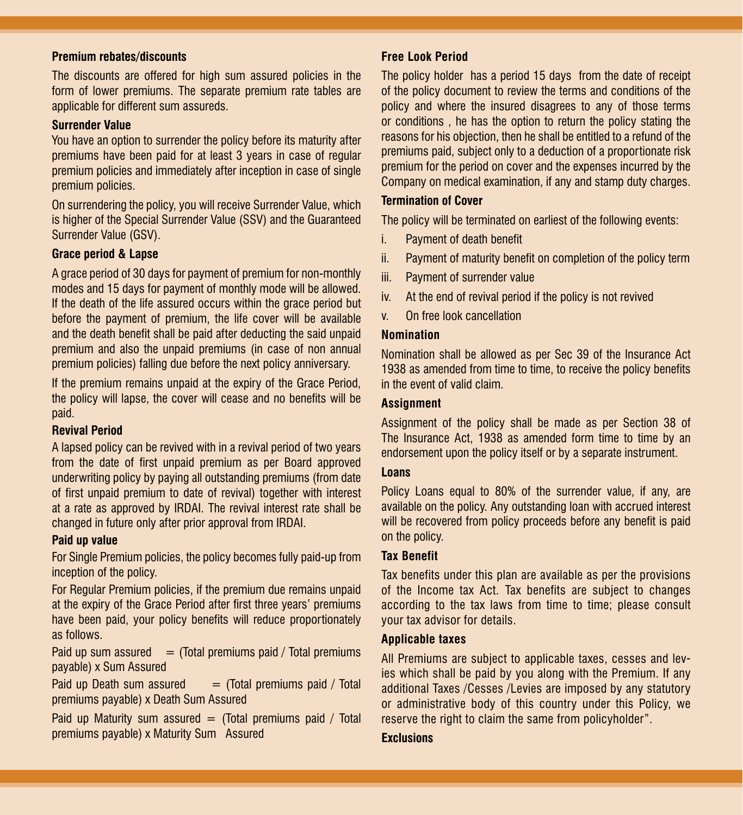#### **Premium rebates/discounts**

The discounts are offered for high sum assured policies in the form of lower premiums. The separate premium rate tables are applicable for different sum assureds.

#### **Surrender Value**

You have an option to surrender the policy before its maturity after premiums have been paid for at least 3 years in case of regular premium policies and immediately after inception in case of single premium policies.

On surrendering the policy, you will receive Surrender Value, which is higher of the Special Surrender Value (SSV) and the Guaranteed Surrender Value (GSV).

#### **Grace period & Lapse**

A grace period of 30 days for payment of premium for non-monthly modes and 15 days for payment of monthly mode will be allowed. If the death of the life assured occurs within the grace period but before the payment of premium, the life cover will be available and the death benefit shall be paid after deducting the said unpaid premium and also the unpaid premiums (in case of non annual premium policies) falling due before the next policy anniversary.

If the premium remains unpaid at the expiry of the Grace Period, the policy will lapse, the cover will cease and no benefits will be paid.

#### **Revival Period**

A lapsed policy can be revived with in a revival period of two years from the date of first unpaid premium as per Board approved underwriting policy by paying all outstanding premiums (from date of first unpaid premium to date of revival) together with interest at a rate as approved by IRDAI. The revival interest rate shall be changed in future only after prior approval from IRDAI.

#### **Paid up value**

For Single Premium policies, the policy becomes fully paid-up from inception of the policy.

For Regular Premium policies, if the premium due remains unpaid at the expiry of the Grace Period after first three years' premiums have been paid, your policy benefits will reduce proportionately as follows.

Paid up sum assured  $=$  (Total premiums paid / Total premiums payable) x Sum Assured

Paid up Death sum assured  $=$  (Total premiums paid / Total premiums payable) x Death Sum Assured

Paid up Maturity sum assured  $=$  (Total premiums paid / Total premiums payable) x Maturity Sum Assured

#### **Free Look Period**

The policy holder has a period 15 days from the date of receipt of the policy document to review the terms and conditions of the policy and where the insured disagrees to any of those terms or conditions , he has the option to return the policy stating the reasons for his objection, then he shall be entitled to a refund of the premiums paid, subject only to a deduction of a proportionate risk premium for the period on cover and the expenses incurred by the Company on medical examination, if any and stamp duty charges.

#### **Termination of Cover**

The policy will be terminated on earliest of the following events:

- i. Payment of death benefit
- ii. Payment of maturity benefit on completion of the policy term
- iii. Payment of surrender value
- iv. At the end of revival period if the policy is not revived
- v. On free look cancellation

#### **Nomination**

Nomination shall be allowed as per Sec 39 of the Insurance Act 1938 as amended from time to time, to receive the policy benefits in the event of valid claim.

#### **Assignment**

Assignment of the policy shall be made as per Section 38 of The Insurance Act, 1938 as amended form time to time by an endorsement upon the policy itself or by a separate instrument.

#### **Loans**

Policy Loans equal to 80% of the surrender value, if any, are available on the policy. Any outstanding loan with accrued interest will be recovered from policy proceeds before any benefit is paid on the policy.

#### **Tax Benefit**

Tax benefits under this plan are available as per the provisions of the Income tax Act. Tax benefits are subject to changes according to the tax laws from time to time; please consult your tax advisor for details.

#### **Applicable taxes**

All Premiums are subject to applicable taxes, cesses and levies which shall be paid by you along with the Premium. If any additional Taxes /Cesses /Levies are imposed by any statutory or administrative body of this country under this Policy, we reserve the right to claim the same from policyholder".

#### **Exclusions**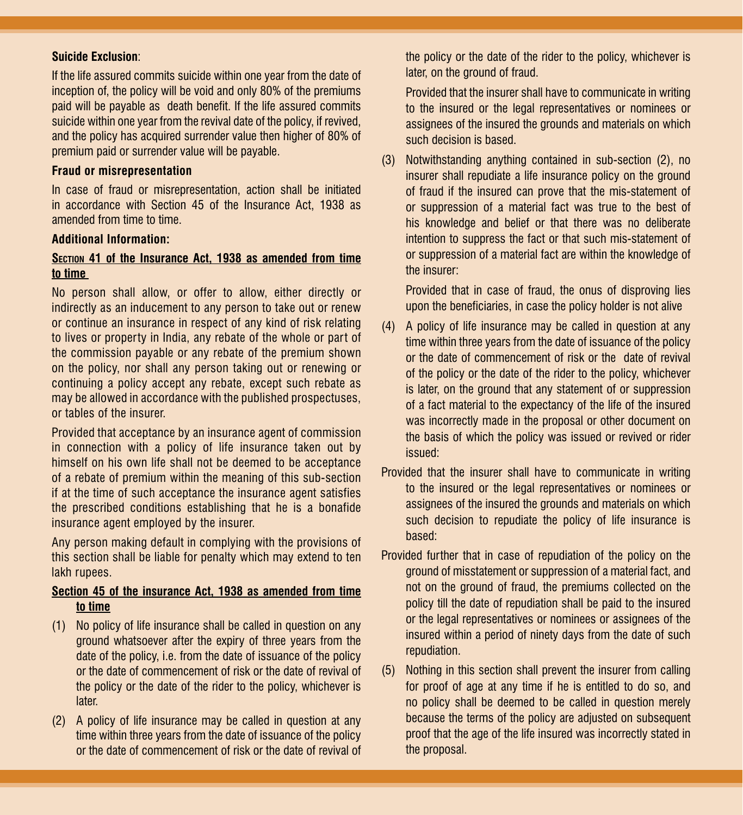#### **Suicide Exclusion**:

If the life assured commits suicide within one year from the date of inception of, the policy will be void and only 80% of the premiums paid will be payable as death benefit. If the life assured commits suicide within one year from the revival date of the policy, if revived, and the policy has acquired surrender value then higher of 80% of premium paid or surrender value will be payable.

#### **Fraud or misrepresentation**

In case of fraud or misrepresentation, action shall be initiated in accordance with Section 45 of the Insurance Act, 1938 as amended from time to time.

#### **Additional Information:**

#### **Section 41 of the Insurance Act, 1938 as amended from time to time**

No person shall allow, or offer to allow, either directly or indirectly as an inducement to any person to take out or renew or continue an insurance in respect of any kind of risk relating to lives or property in India, any rebate of the whole or part of the commission payable or any rebate of the premium shown on the policy, nor shall any person taking out or renewing or continuing a policy accept any rebate, except such rebate as may be allowed in accordance with the published prospectuses, or tables of the insurer.

Provided that acceptance by an insurance agent of commission in connection with a policy of life insurance taken out by himself on his own life shall not be deemed to be acceptance of a rebate of premium within the meaning of this sub-section if at the time of such acceptance the insurance agent satisfies the prescribed conditions establishing that he is a bonafide insurance agent employed by the insurer.

Any person making default in complying with the provisions of this section shall be liable for penalty which may extend to ten lakh rupees.

#### **Section 45 of the insurance Act, 1938 as amended from time to time**

- (1) No policy of life insurance shall be called in question on any ground whatsoever after the expiry of three years from the date of the policy, i.e. from the date of issuance of the policy or the date of commencement of risk or the date of revival of the policy or the date of the rider to the policy, whichever is later.
- (2) A policy of life insurance may be called in question at any time within three years from the date of issuance of the policy or the date of commencement of risk or the date of revival of

the policy or the date of the rider to the policy, whichever is later, on the ground of fraud.

Provided that the insurer shall have to communicate in writing to the insured or the legal representatives or nominees or assignees of the insured the grounds and materials on which such decision is based.

(3) Notwithstanding anything contained in sub-section (2), no insurer shall repudiate a life insurance policy on the ground of fraud if the insured can prove that the mis-statement of or suppression of a material fact was true to the best of his knowledge and belief or that there was no deliberate intention to suppress the fact or that such mis-statement of or suppression of a material fact are within the knowledge of the insurer:

Provided that in case of fraud, the onus of disproving lies upon the beneficiaries, in case the policy holder is not alive

- (4) A policy of life insurance may be called in question at any time within three years from the date of issuance of the policy or the date of commencement of risk or the date of revival of the policy or the date of the rider to the policy, whichever is later, on the ground that any statement of or suppression of a fact material to the expectancy of the life of the insured was incorrectly made in the proposal or other document on the basis of which the policy was issued or revived or rider issued:
- Provided that the insurer shall have to communicate in writing to the insured or the legal representatives or nominees or assignees of the insured the grounds and materials on which such decision to repudiate the policy of life insurance is based:
- Provided further that in case of repudiation of the policy on the ground of misstatement or suppression of a material fact, and not on the ground of fraud, the premiums collected on the policy till the date of repudiation shall be paid to the insured or the legal representatives or nominees or assignees of the insured within a period of ninety days from the date of such repudiation.
- (5) Nothing in this section shall prevent the insurer from calling for proof of age at any time if he is entitled to do so, and no policy shall be deemed to be called in question merely because the terms of the policy are adjusted on subsequent proof that the age of the life insured was incorrectly stated in the proposal.